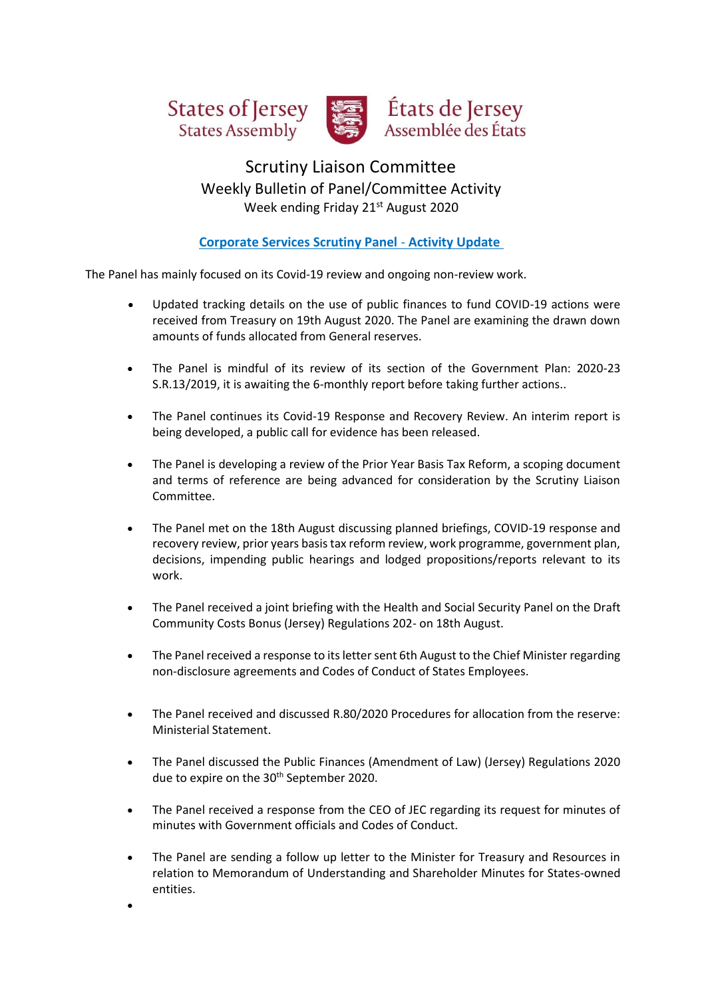





# Scrutiny Liaison Committee Weekly Bulletin of Panel/Committee Activity Week ending Friday 21st August 2020

# **Corporate Services Scrutiny Panel** - **Activity Update**

The Panel has mainly focused on its Covid-19 review and ongoing non-review work.

- Updated tracking details on the use of public finances to fund COVID-19 actions were received from Treasury on 19th August 2020. The Panel are examining the drawn down amounts of funds allocated from General reserves.
- The Panel is mindful of its review of its section of the Government Plan: 2020-23 S.R.13/2019, it is awaiting the 6-monthly report before taking further actions..
- The Panel continues its Covid-19 Response and Recovery Review. An interim report is being developed, a public call for evidence has been released.
- The Panel is developing a review of the Prior Year Basis Tax Reform, a scoping document and terms of reference are being advanced for consideration by the Scrutiny Liaison Committee.
- The Panel met on the 18th August discussing planned briefings, COVID-19 response and recovery review, prior years basis tax reform review, work programme, government plan, decisions, impending public hearings and lodged propositions/reports relevant to its work.
- The Panel received a joint briefing with the Health and Social Security Panel on the Draft Community Costs Bonus (Jersey) Regulations 202- on 18th August.
- The Panel received a response to its letter sent 6th August to the Chief Minister regarding non-disclosure agreements and Codes of Conduct of States Employees.
- The Panel received and discussed R.80/2020 Procedures for allocation from the reserve: Ministerial Statement.
- The Panel discussed the Public Finances (Amendment of Law) (Jersey) Regulations 2020 due to expire on the 30<sup>th</sup> September 2020.
- The Panel received a response from the CEO of JEC regarding its request for minutes of minutes with Government officials and Codes of Conduct.
- The Panel are sending a follow up letter to the Minister for Treasury and Resources in relation to Memorandum of Understanding and Shareholder Minutes for States-owned entities.

•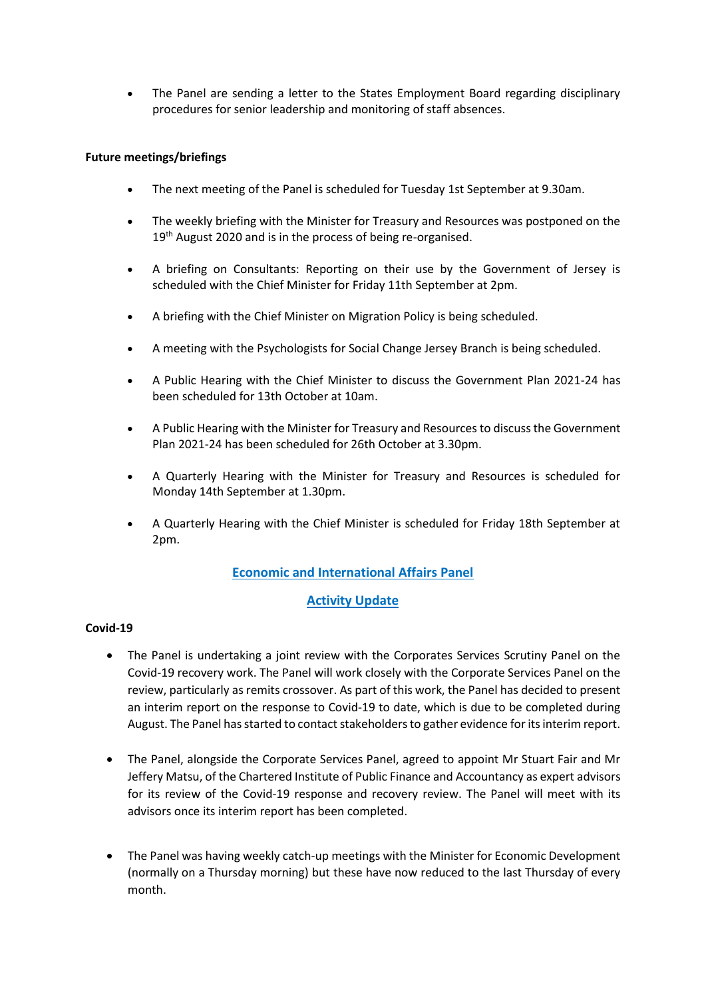• The Panel are sending a letter to the States Employment Board regarding disciplinary procedures for senior leadership and monitoring of staff absences.

#### **Future meetings/briefings**

- The next meeting of the Panel is scheduled for Tuesday 1st September at 9.30am.
- The weekly briefing with the Minister for Treasury and Resources was postponed on the 19<sup>th</sup> August 2020 and is in the process of being re-organised.
- A briefing on Consultants: Reporting on their use by the Government of Jersey is scheduled with the Chief Minister for Friday 11th September at 2pm.
- A briefing with the Chief Minister on Migration Policy is being scheduled.
- A meeting with the Psychologists for Social Change Jersey Branch is being scheduled.
- A Public Hearing with the Chief Minister to discuss the Government Plan 2021-24 has been scheduled for 13th October at 10am.
- A Public Hearing with the Minister for Treasury and Resources to discuss the Government Plan 2021-24 has been scheduled for 26th October at 3.30pm.
- A Quarterly Hearing with the Minister for Treasury and Resources is scheduled for Monday 14th September at 1.30pm.
- A Quarterly Hearing with the Chief Minister is scheduled for Friday 18th September at 2pm.

# **Economic and International Affairs Panel**

# **Activity Update**

## **Covid-19**

- The Panel is undertaking a joint review with the Corporates Services Scrutiny Panel on the Covid-19 recovery work. The Panel will work closely with the Corporate Services Panel on the review, particularly as remits crossover. As part of this work, the Panel has decided to present an interim report on the response to Covid-19 to date, which is due to be completed during August. The Panel has started to contact stakeholders to gather evidence for its interim report.
- The Panel, alongside the Corporate Services Panel, agreed to appoint Mr Stuart Fair and Mr Jeffery Matsu, of the Chartered Institute of Public Finance and Accountancy as expert advisors for its review of the Covid-19 response and recovery review. The Panel will meet with its advisors once its interim report has been completed.
- The Panel was having weekly catch-up meetings with the Minister for Economic Development (normally on a Thursday morning) but these have now reduced to the last Thursday of every month.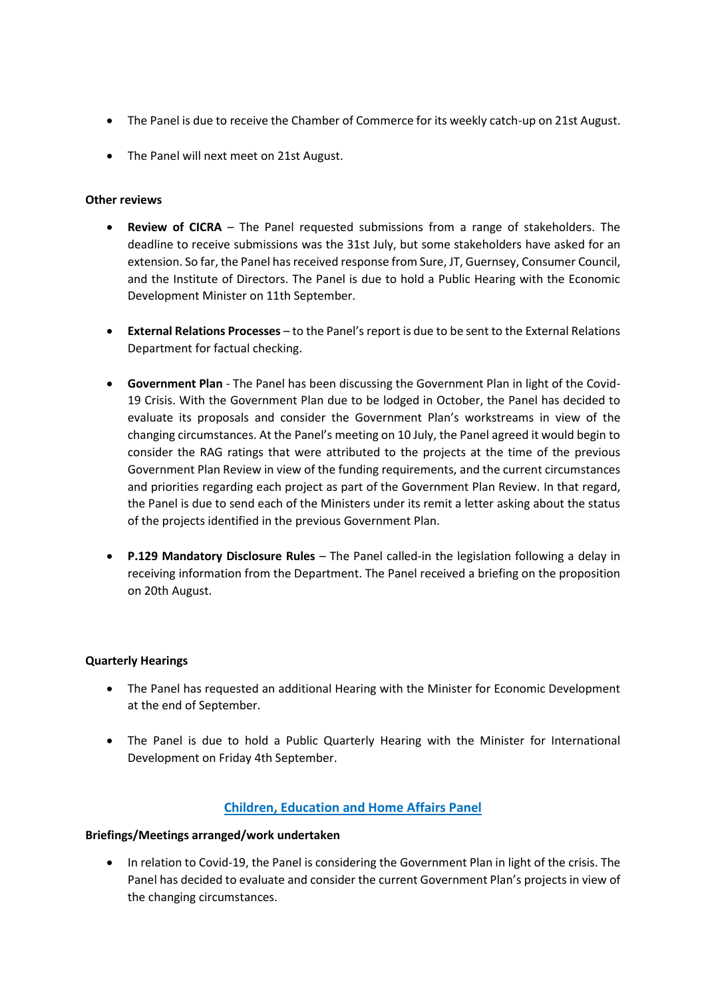- The Panel is due to receive the Chamber of Commerce for its weekly catch-up on 21st August.
- The Panel will next meet on 21st August.

#### **Other reviews**

- **Review of CICRA** The Panel requested submissions from a range of stakeholders. The deadline to receive submissions was the 31st July, but some stakeholders have asked for an extension. So far, the Panel has received response from Sure, JT, Guernsey, Consumer Council, and the Institute of Directors. The Panel is due to hold a Public Hearing with the Economic Development Minister on 11th September.
- **External Relations Processes** to the Panel's report is due to be sent to the External Relations Department for factual checking.
- **Government Plan** The Panel has been discussing the Government Plan in light of the Covid-19 Crisis. With the Government Plan due to be lodged in October, the Panel has decided to evaluate its proposals and consider the Government Plan's workstreams in view of the changing circumstances. At the Panel's meeting on 10 July, the Panel agreed it would begin to consider the RAG ratings that were attributed to the projects at the time of the previous Government Plan Review in view of the funding requirements, and the current circumstances and priorities regarding each project as part of the Government Plan Review. In that regard, the Panel is due to send each of the Ministers under its remit a letter asking about the status of the projects identified in the previous Government Plan.
- **P.129 Mandatory Disclosure Rules** The Panel called-in the legislation following a delay in receiving information from the Department. The Panel received a briefing on the proposition on 20th August.

#### **Quarterly Hearings**

- The Panel has requested an additional Hearing with the Minister for Economic Development at the end of September.
- The Panel is due to hold a Public Quarterly Hearing with the Minister for International Development on Friday 4th September.

# **Children, Education and Home Affairs Panel**

#### **Briefings/Meetings arranged/work undertaken**

• In relation to Covid-19, the Panel is considering the Government Plan in light of the crisis. The Panel has decided to evaluate and consider the current Government Plan's projects in view of the changing circumstances.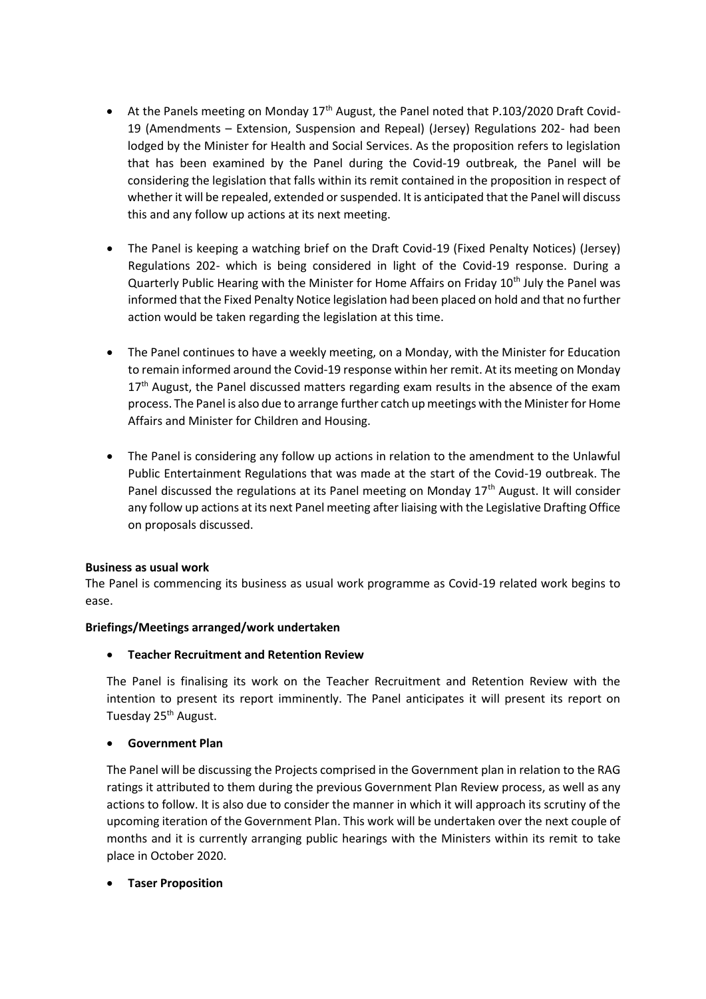- At the Panels meeting on Monday  $17<sup>th</sup>$  August, the Panel noted that P.103/2020 Draft Covid-19 (Amendments – Extension, Suspension and Repeal) (Jersey) Regulations 202- had been lodged by the Minister for Health and Social Services. As the proposition refers to legislation that has been examined by the Panel during the Covid-19 outbreak, the Panel will be considering the legislation that falls within its remit contained in the proposition in respect of whether it will be repealed, extended or suspended. It is anticipated that the Panel will discuss this and any follow up actions at its next meeting.
- The Panel is keeping a watching brief on the Draft Covid-19 (Fixed Penalty Notices) (Jersey) Regulations 202- which is being considered in light of the Covid-19 response. During a Quarterly Public Hearing with the Minister for Home Affairs on Friday 10<sup>th</sup> July the Panel was informed that the Fixed Penalty Notice legislation had been placed on hold and that no further action would be taken regarding the legislation at this time.
- The Panel continues to have a weekly meeting, on a Monday, with the Minister for Education to remain informed around the Covid-19 response within her remit. At its meeting on Monday 17<sup>th</sup> August, the Panel discussed matters regarding exam results in the absence of the exam process. The Panel is also due to arrange further catch up meetings with the Minister for Home Affairs and Minister for Children and Housing.
- The Panel is considering any follow up actions in relation to the amendment to the Unlawful Public Entertainment Regulations that was made at the start of the Covid-19 outbreak. The Panel discussed the regulations at its Panel meeting on Monday 17<sup>th</sup> August. It will consider any follow up actions at its next Panel meeting after liaising with the Legislative Drafting Office on proposals discussed.

## **Business as usual work**

The Panel is commencing its business as usual work programme as Covid-19 related work begins to ease.

#### **Briefings/Meetings arranged/work undertaken**

#### • **Teacher Recruitment and Retention Review**

The Panel is finalising its work on the Teacher Recruitment and Retention Review with the intention to present its report imminently. The Panel anticipates it will present its report on Tuesday 25<sup>th</sup> August.

#### • **Government Plan**

The Panel will be discussing the Projects comprised in the Government plan in relation to the RAG ratings it attributed to them during the previous Government Plan Review process, as well as any actions to follow. It is also due to consider the manner in which it will approach its scrutiny of the upcoming iteration of the Government Plan. This work will be undertaken over the next couple of months and it is currently arranging public hearings with the Ministers within its remit to take place in October 2020.

## • **Taser Proposition**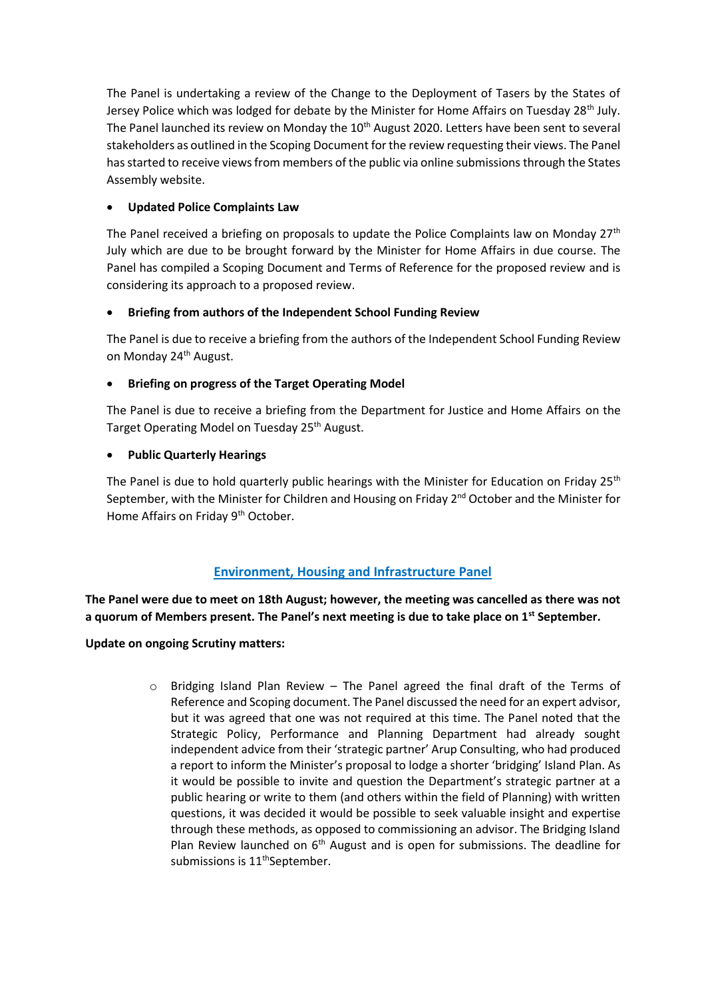The Panel is undertaking a review of the Change to the Deployment of Tasers by the States of Jersey Police which was lodged for debate by the Minister for Home Affairs on Tuesday 28<sup>th</sup> July. The Panel launched its review on Monday the  $10<sup>th</sup>$  August 2020. Letters have been sent to several stakeholders as outlined in the Scoping Document for the review requesting their views. The Panel has started to receive views from members of the public via online submissions through the States Assembly website.

## • **Updated Police Complaints Law**

The Panel received a briefing on proposals to update the Police Complaints law on Monday  $27<sup>th</sup>$ July which are due to be brought forward by the Minister for Home Affairs in due course. The Panel has compiled a Scoping Document and Terms of Reference for the proposed review and is considering its approach to a proposed review.

## • **Briefing from authors of the Independent School Funding Review**

The Panel is due to receive a briefing from the authors of the Independent School Funding Review on Monday 24<sup>th</sup> August.

## • **Briefing on progress of the Target Operating Model**

The Panel is due to receive a briefing from the Department for Justice and Home Affairs on the Target Operating Model on Tuesday 25<sup>th</sup> August.

## • **Public Quarterly Hearings**

The Panel is due to hold quarterly public hearings with the Minister for Education on Friday 25<sup>th</sup> September, with the Minister for Children and Housing on Friday 2<sup>nd</sup> October and the Minister for Home Affairs on Friday 9<sup>th</sup> October.

# **Environment, Housing and Infrastructure Panel**

**The Panel were due to meet on 18th August; however, the meeting was cancelled as there was not a quorum of Members present. The Panel's next meeting is due to take place on 1st September.** 

**Update on ongoing Scrutiny matters:**

 $\circ$  Bridging Island Plan Review – The Panel agreed the final draft of the Terms of Reference and Scoping document. The Panel discussed the need for an expert advisor, but it was agreed that one was not required at this time. The Panel noted that the Strategic Policy, Performance and Planning Department had already sought independent advice from their 'strategic partner' Arup Consulting, who had produced a report to inform the Minister's proposal to lodge a shorter 'bridging' Island Plan. As it would be possible to invite and question the Department's strategic partner at a public hearing or write to them (and others within the field of Planning) with written questions, it was decided it would be possible to seek valuable insight and expertise through these methods, as opposed to commissioning an advisor. The Bridging Island Plan Review launched on  $6<sup>th</sup>$  August and is open for submissions. The deadline for submissions is  $11<sup>th</sup>$ September.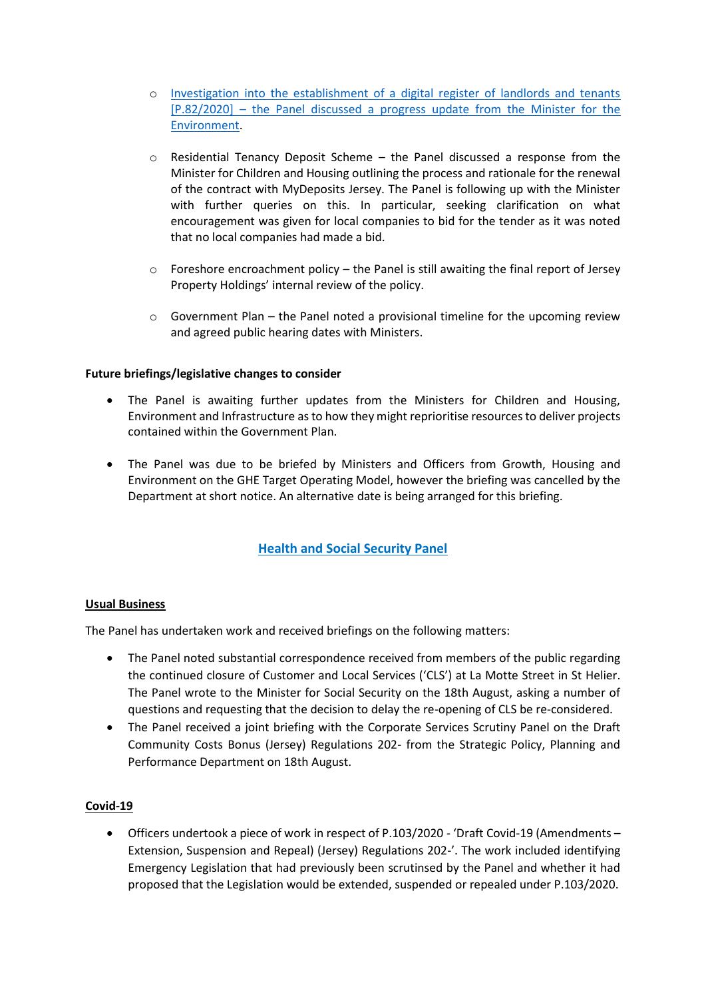- o [Investigation into the establishment of a digital register of landlords and tenants](https://statesassembly.gov.je/Pages/Propositions.aspx?ref=P.82/2020&refurl=%2fPages%2fPropositions.aspx)  [\[P.82/2020\]](https://statesassembly.gov.je/Pages/Propositions.aspx?ref=P.82/2020&refurl=%2fPages%2fPropositions.aspx) – the Panel discussed a progress update from the Minister for the Environment.
- o Residential Tenancy Deposit Scheme the Panel discussed a response from the Minister for Children and Housing outlining the process and rationale for the renewal of the contract with MyDeposits Jersey. The Panel is following up with the Minister with further queries on this. In particular, seeking clarification on what encouragement was given for local companies to bid for the tender as it was noted that no local companies had made a bid.
- $\circ$  Foreshore encroachment policy the Panel is still awaiting the final report of Jersey Property Holdings' internal review of the policy.
- o Government Plan the Panel noted a provisional timeline for the upcoming review and agreed public hearing dates with Ministers.

## **Future briefings/legislative changes to consider**

- The Panel is awaiting further updates from the Ministers for Children and Housing, Environment and Infrastructure as to how they might reprioritise resources to deliver projects contained within the Government Plan.
- The Panel was due to be briefed by Ministers and Officers from Growth, Housing and Environment on the GHE Target Operating Model, however the briefing was cancelled by the Department at short notice. An alternative date is being arranged for this briefing.

# **Health and Social Security Panel**

#### **Usual Business**

The Panel has undertaken work and received briefings on the following matters:

- The Panel noted substantial correspondence received from members of the public regarding the continued closure of Customer and Local Services ('CLS') at La Motte Street in St Helier. The Panel wrote to the Minister for Social Security on the 18th August, asking a number of questions and requesting that the decision to delay the re-opening of CLS be re-considered.
- The Panel received a joint briefing with the Corporate Services Scrutiny Panel on the Draft Community Costs Bonus (Jersey) Regulations 202- from the Strategic Policy, Planning and Performance Department on 18th August.

#### **Covid-19**

• Officers undertook a piece of work in respect of P.103/2020 - 'Draft Covid-19 (Amendments – Extension, Suspension and Repeal) (Jersey) Regulations 202-'. The work included identifying Emergency Legislation that had previously been scrutinsed by the Panel and whether it had proposed that the Legislation would be extended, suspended or repealed under P.103/2020.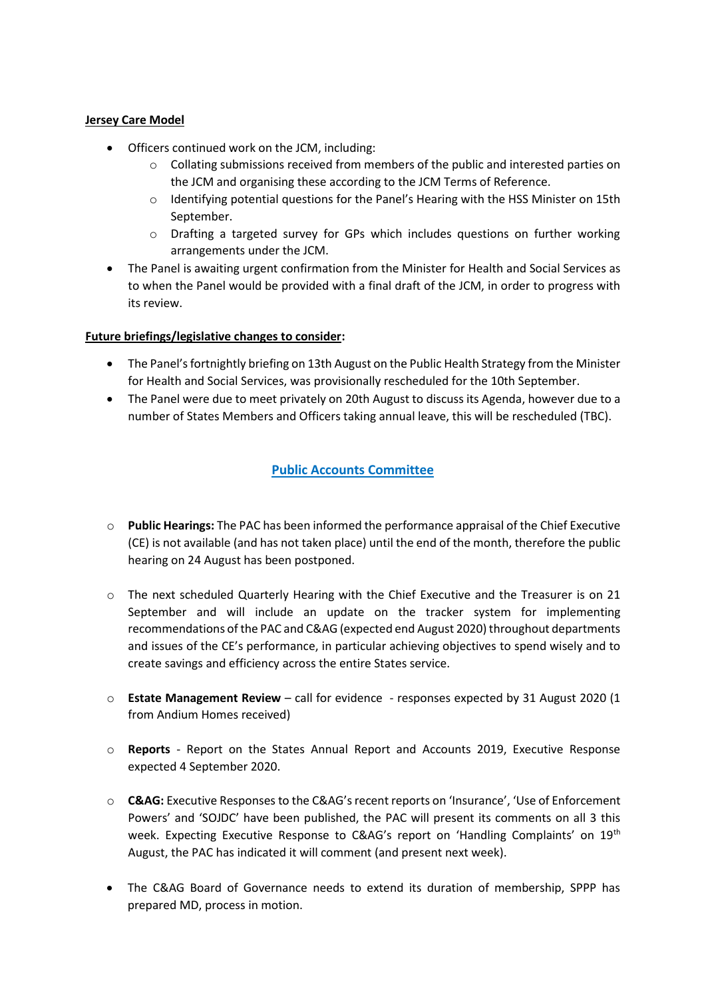#### **Jersey Care Model**

- Officers continued work on the JCM, including:
	- $\circ$  Collating submissions received from members of the public and interested parties on the JCM and organising these according to the JCM Terms of Reference.
	- o Identifying potential questions for the Panel's Hearing with the HSS Minister on 15th September.
	- o Drafting a targeted survey for GPs which includes questions on further working arrangements under the JCM.
- The Panel is awaiting urgent confirmation from the Minister for Health and Social Services as to when the Panel would be provided with a final draft of the JCM, in order to progress with its review.

## **Future briefings/legislative changes to consider:**

- The Panel's fortnightly briefing on 13th August on the Public Health Strategy from the Minister for Health and Social Services, was provisionally rescheduled for the 10th September.
- The Panel were due to meet privately on 20th August to discuss its Agenda, however due to a number of States Members and Officers taking annual leave, this will be rescheduled (TBC).

## **Public Accounts Committee**

- o **Public Hearings:** The PAC has been informed the performance appraisal of the Chief Executive (CE) is not available (and has not taken place) until the end of the month, therefore the public hearing on 24 August has been postponed.
- o The next scheduled Quarterly Hearing with the Chief Executive and the Treasurer is on 21 September and will include an update on the tracker system for implementing recommendations of the PAC and C&AG (expected end August 2020) throughout departments and issues of the CE's performance, in particular achieving objectives to spend wisely and to create savings and efficiency across the entire States service.
- o **Estate Management Review** call for evidence responses expected by 31 August 2020 (1 from Andium Homes received)
- o **Reports** Report on the States Annual Report and Accounts 2019, Executive Response expected 4 September 2020.
- o **C&AG:** Executive Responses to the C&AG's recent reports on 'Insurance', 'Use of Enforcement Powers' and 'SOJDC' have been published, the PAC will present its comments on all 3 this week. Expecting Executive Response to C&AG's report on 'Handling Complaints' on 19th August, the PAC has indicated it will comment (and present next week).
- The C&AG Board of Governance needs to extend its duration of membership, SPPP has prepared MD, process in motion.